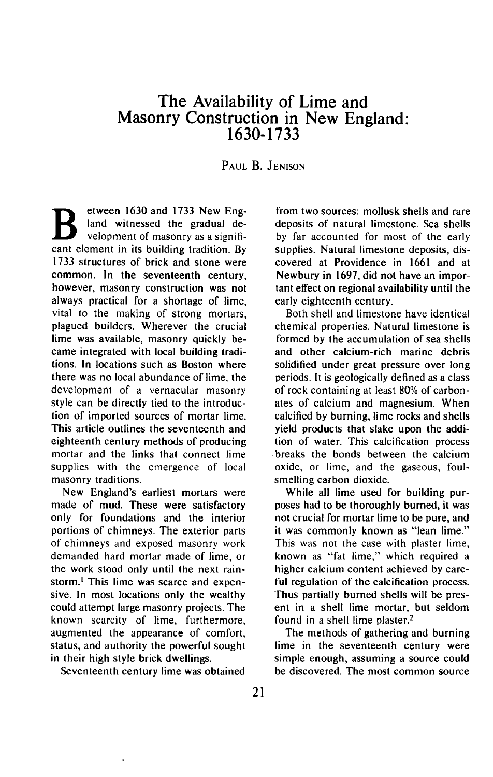## **The Availability of Lime and Masonry Construction in New England: 1630-1733**

**PAUL B. JENISON** 

**B etween 1630 and 1733 New Eng-**<br> **velopment of masonry as a signifiland witnessed the gradual decant element in its building tradition. By 1733 structures of brick and stone were common. In the seventeenth century, however, masonry construction was not always practical for a shortage of lime, vital to the making of strong mortars, plagued builders. Wherever the crucial lime was available, masonry quickly became integrated with local building traditions. In locations such as Boston where there was no local abundance of lime, the development of a vernacular masonry style can be directly tied to the introduction of imported sources of mortar lime. This article outlines the seventeenth and eighteenth century methods of producing mortar and the links that connect lime supplies with the emergence of local masonry traditions.** 

New England's earliest mortars were **made of mud. These were satisfactory only for foundations and the interior portions of chimneys. The exterior parts of chimneys and exposed masonry work demanded hard mortar made of lime, or the work stood only until the next rainstorm.' This lime was scarce and expensive. In most locations only the wealthy could attempt large masonry projects. The known scarcity of lime, furthermore, augmented the appearance of comfort, status, and authority the powerful sought in their high style brick dwellings.** 

**Seventeenth century lime was obtained** 

**from two sources: mollusk shells and rare deposits of natural limestone. Sea shells by far accounted for most of the early supplies. Natural limestone deposits, discovered at Providence in 1661 and at Newbury in 1697, did not have an important effect on regional availability until the early eighteenth century.** 

**Both shell and limestone have identical chemical properties. Natural limestone is formed by the accumulation of sea shells and other calcium-rich marine debris solidified under great pressure over long periods. It is geologically defined as a class of rock containing at least 80% of carbonates of calcium and magnesium. When calcified by burning, lime rocks and shells yield products that slake upon the addition of water. This calcification process breaks the bonds between the calcium oxide, or lime, and the gaseous, foulsmelling carbon dioxide.** 

**While all lime used for building purposes had to be thoroughly burned, it was not crucial for mortar lime to be pure, and it was commonly known as "lean lime." This was not the case with plaster lime, known as "fat lime," which required a higher calcium content achieved by careful regulation of the calcification process. Thus partially burned shells will be present in a shell lime mortar, but seldom found in a shell lime plaster.2** 

**The methods of gathering and burning lime in the seventeenth century were simple enough, assuming a source could be discovered. The most common source**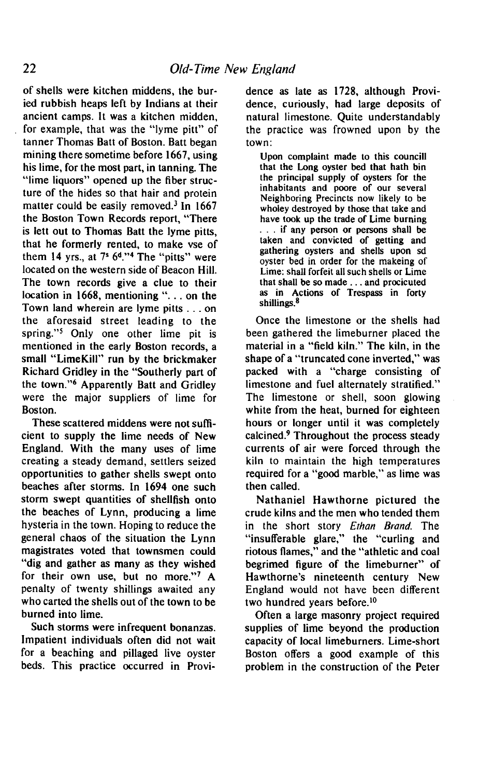**of shells were kitchen middens, the buried rubbish heaps left by Indians at their ancient camps. It was a kitchen midden,**  for example, that was the "lyme pitt" of **tanner Thomas Batt of Boston. Batt began mining there sometime before 1667, using his lime, for the most part, in tanning. The "lime liquors" opened up the fiber structure of the hides so that hair and protein matter could be easily removed.' In 1667 the Boston Town Records report, "There is lett out to Thomas Batt the lyme pitts, that he formerly rented, to make vse of them 14 yrs., at 75 6d."4 The "pitts" were located on the western side of Beacon Hill. The town records give a clue to their location in 1668, mentioning ". . . on the Town land wherein are lyme pitts . . . on the aforesaid street leading to the spring."' Only one other lime pit is mentioned in the early Boston records, a small "LimeKill" run by the brickmaker Richard Gridley in the "Southerly part of the town.'16 Apparently Batt and Gridley were the major suppliers of lime for Boston.** 

**These scattered middens were not sufficient to supply the lime needs of New England. With the many uses of lime creating a steady demand, settlers seized opportunities to gather shells swept onto beaches after storms. In 1694 one such storm swept quantities of shellfish onto the beaches of Lynn, producing a lime hysteria in the town. Hoping to reduce the general chaos of the situation the Lynn magistrates voted that townsmen could "dig and gather as many as they wished for their own use, but no more."' A penalty of twenty shillings awaited any who carted the shells out of the town to be burned into lime.** 

**Such storms were infrequent bonanzas. Impatient individuals often did not wait for a beaching and pillaged live oyster beds. This practice occurred in Provi-** **dence as late as 1728, although Providence, curiously, had large deposits of natural limestone. Quite understandably the practice was frowned upon by the town:** 

**Upon complaint made to this council1 that the Long oyster bed that hath bin the principal supply of oysters for the inhabitants and poore of our several Neighboring Precincts now likely to be wholey destroyed by those that take and have took up the trade of Lime burning . if any person or persons shall be taken and convicted of getting and gathering oysters and shells upon sd oyster bed in order for the makeing of Lime: shall forfeit all such shells or Lime that shall be so made . . . and procicuted as in Actions of Trespass in forty shillings.\*** 

**Once the limestone or the shells had been gathered the limeburner placed the material in a "field kiln." The kiln, in the shape of a "truncated cone inverted," was packed with a "charge consisting of limestone and fuel alternately stratified." The limestone or shell, soon glowing white from the heat, burned for eighteen hours or longer until it was completely calcined.9 Throughout the process steady currents of air were forced through the kiln to maintain the high temperatures required for a "good marble," as lime was then called.** 

**Nathaniel Hawthorne pictured the crude kilns and the men who tended them in the short story Erhan Brand. The "insufferable glare," the "curling and riotous flames," and the "athletic and coal begrimed figure of the limeburner" of Hawthorne's nineteenth century New England would not have been different two hundred years before.'O** 

**Often a large masonry project required supplies of lime beyond the production capacity of local limeburners. Lime-short Boston offers a good example of this problem in the construction of the Peter**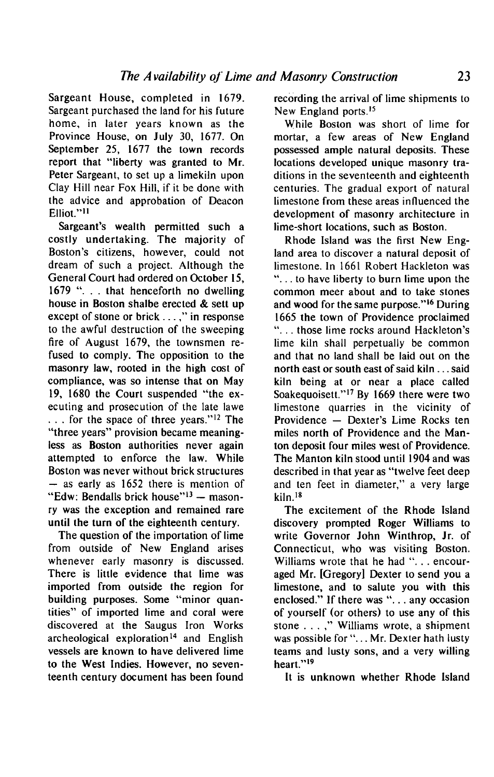**Sargeant House, completed in 1679. Sargeant purchased the land for his future home, in later years known as the Province House, on July 30, 1677. On September 25, 1677 the town records report that "liberty was granted to Mr. Peter Sargeant, to set up a limekiln upon Clay Hill near Fox Hill, if it be done with the advice and approbation of Deacon**  Elliot."<sup>11</sup>

Sargeant's wealth permitted such a **costly undertaking. The majority of**  Boston's citizens, however, could not **dream of such a project. Although the General Court had ordered on October 15, 1679 ". . . that henceforth no dwelling house in Boston shalbe erected & sett up except of stone or brick . . . ," in response to the awful destruction of the sweeping fire of August 1679, the townsmen refused to comply. The opposition to the masonry law, rooted in the high cost of compliance, was so intense that on May 19, 1680 the Court suspended "the executing and prosecution of the late lawe**  ... for the space of three years."<sup>12</sup> The **"three years" provision became meaningless as Boston authorities never again attempted to enforce the law. While Boston was never without brick structures - as early as 1652 there is mention of**  "Edw: Bendalls brick house"<sup>13</sup> - mason**ry was the exception and remained rare until the turn of the eighteenth century.** 

**The question of the importation of lime from outside of New England arises whenever early masonry is discussed. There is little evidence that lime was imported from outside the region for building purposes. Some "minor quantities" of imported lime and coral were discovered at the Saugus Iron Works**  archeological exploration<sup>14</sup> and English **vessels are known to have delivered lime to the West Indies. However, no seventeenth century document has been found** 

**recording the arrival of lime shipments to**  New England ports.<sup>15</sup>

**While Boston was short of lime for mortar, a few areas of New England possessed ample natural deposits. These locations developed unique masonry traditions in the seventeenth and eighteenth centuries. The gradual export of natural limestone from these areas influenced the development of masonry architecture in lime-short locations, such as Boston.** 

**Rhode Island was the first New England area to discover a natural deposit of limestone. In 1661 Robert Hackleton was 6' . . . to have liberty to burn lime upon the common meer about and to take stones**  and wood for the same purpose."<sup>16</sup> During **1665 the town of Providence proclaimed**  "... those lime rocks around Hackleton' **lime kiln shall perpetually be common and that no land shall be laid out on the north east or south east of said kiln.. . said kiln being at or near a place called**  Soakequoisett."<sup>17</sup> By 1669 there were two **limestone quarries in the vicinity of**  Providence - Dexter's Lime Rocks ten **miles north of Providence and the Manton deposit four miles west of Providence. The Manton kiln stood until 1904 and was described in that year as "twelve feet deep and ten feet in diameter," a very large kiln.\* '**

**The excitement of the Rhode Island discovery prompted Roger Williams to write Governor John Winthrop, Jr. of Connecticut, who was visiting Boston.**  Williams wrote that he had "... encour**aged Mr. [Gregory] Dexter to send you a limestone, and to salute you with this enclosed." If there was ". . . any occasion of yourself (or others) to use any of this stone . . . ," Williams wrote, a shipment was possible for ". . . Mr. Dexter hath lusty teams and lusty sons, and a very willing**  heart."<sup>19</sup>

**It is unknown whether Rhode Island**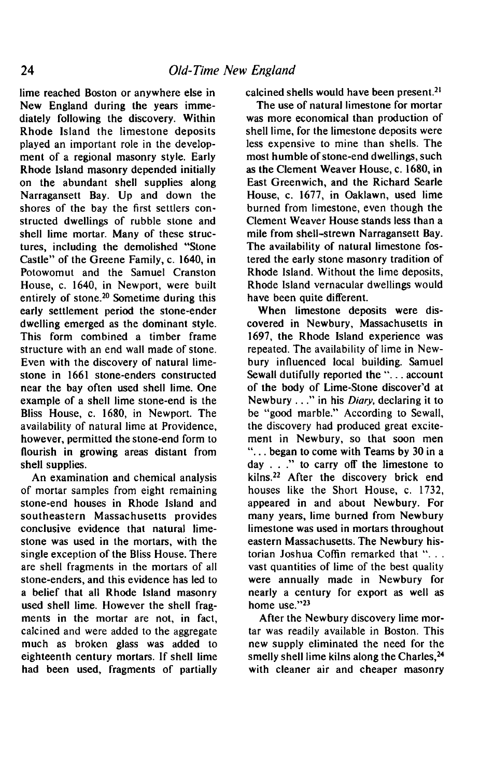**lime reached Boston or anywhere else in New England during the years immediately following the discovery. Within Rhode Island the limestone deposits played an important role in the development of a regional masonry style. Early Rhode Island masonry depended initially on the abundant shell supplies along Narragansett Bay. Up and down the shores of the bay the first settlers constructed dwellings of rubble stone and shell lime mortar. Many of these structures, including the demolished "Stone Castle" of the Greene Family, c. 1640, in Potowomut and the Samuel Cranston House, c. 1640, in Newport, were built**  entirely of stone.<sup>20</sup> Sometime during this **early settlement period the stone-ender dwelling emerged as the dominant style. This form combined a timber frame structure with an end wall made of stone. Even with the discovery of natural limestone in 1661 stone-enders constructed near the bay often used shell lime. One example of a shell lime stone-end is the Bliss House, c. 1680, in Newport. The availability of natural lime at Providence, however, permitted the stone-end form to flourish in growing areas distant from shell supplies.** 

**An examination and chemical analysis of mortar samples from eight remaining stone-end houses in Rhode Island and southeastern Massachusetts provides conclusive evidence that natural limestone was used in the mortars, with the single exception of the Bliss House. There are shell fragments in the mortars of all stone-enders, and this evidence has led to a belief that all Rhode Island masonry used shell lime. However the shell fragments in the mortar are not, in fact, calcined and were added to the aggregate much as broken glass was added to eighteenth century mortars. If shell lime had been used, fragments of partially** 

calcined shells would have been present.<sup>21</sup>

**The use of natural limestone for mortar was more economical than production of shell lime, for the limestone deposits were less expensive to mine than shells. The most humble of stone-end dwellings, such as the Clement Weaver House, c. 1680, in East Greenwich, and the Richard Searle House, c. 1677, in Oaklawn, used lime burned from limestone, even though the Clement Weaver House stands less than a mile from shell-strewn Narragansett Bay. The availability of natural limestone fostered the early stone masonry tradition of Rhode Island. Without the lime deposits, Rhode Island vernacular dwellings would have been quite different.** 

**When limestone deposits were discovered in Newbury, Massachusetts in 1697, the Rhode Island experience was repeated. The availability of lime in Newbury influenced local building. Samuel Sewall dutifully reported the ". . . account**  of the body of Lime-Stone discover'd at **Newbury. . . " in his Diary, declaring it to be "good marble." According to Sewall, the discovery had produced great excitement in Newbury, so that soon men I ' . . . began to come with Teams by 30 in a day . . ." to carry off the limestone to**  kilns.<sup>22</sup> After the discovery brick end **houses like the Short House, c. 1732, appeared in and about Newbury. For many years, lime burned from Newbury limestone was used in mortars throughout eastern Massachusetts. The Newbury his**torian Joshua Coffin remarked that "... **vast quantities of lime of the best quality were annually made in Newbury for nearly a century for export as well as home use."23** 

**After the Newbury discovery lime mortar was readily available in Boston. This new supply eliminated the need for the smelly shell lime kilns along the Charles,24 with cleaner air and cheaper masonry**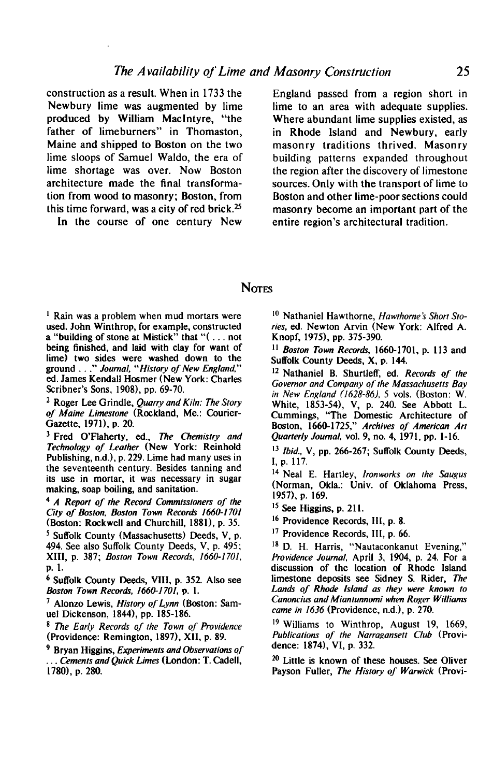**construction as a result. When in 1733 the Newbury lime was augmented by lime produced by William Maclntyre, "the father of limeburners" in Thomaston, Maine and shipped to Boston on the two lime sloops of Samuel Waldo, the era of lime shortage was over. Now Boston architecture made the final transformation from wood to masonry; Boston, from this time forward, was a city of red brick.2S** 

**In the course of one century New** 

**England passed from a region short in lime to an area with adequate supplies. Where abundant lime supplies existed, as in Rhode Island and Newbury, early masonry traditions thrived. Masonry building patterns expanded throughout the region after the discovery of limestone sources. Only with the transport of lime to Boston and other lime-poor sections could masonry become an important part of the**   $entire region's architectural tradition.$ 

## **NOTES**

<sup>1</sup> Rain was a problem when mud mortars were **used. John Winthrop, for example, constructed a "building of stone at Mistick" that "f . . . not being finished, and laid with clay for want of lime) two sides were washed down to the ground . . ." Journal, "History of New England." ed. James Kendall Hasmer (New York: Charles Scribners ' Sons, 1908), pp. 69-70.** 

**2 Roger Lee Grindle, Quarry and Kiln: The Story of Maine Limestone (Rockland. Me.: Courier-Gazette, 1971). p. 20.** 

<sup>3</sup> Fred O'Flaherty, ed., The Chemistry and **Technology of Leather (New York: Reinhold**  Publishing, n.d.), p. 229. Lime had many uses in **the seventeenth century. Besides tanning and its use in mortar, it was necessary in sugar making, soap boiling, and sanitation.** 

<sup>4</sup> A Report of the Record Commissioners of the **City of Boston, Boston Town Records 1660-1701 (Boston: Rockwell and Churchill, 1881). p. 35.** 

**5 Suffolk County (Massachusetts) Deeds, V, p. 494. See also Suffolk County Deeds, V, p. 495; XIII, p. 387; Boston Town Records, 1660-1701, p. 1.** 

**6 Suffolk County Deeds, VIII. p. 352. Also see Boston Town Records, 166GI 701, p. I.** 

**' Alonzo Lewis, History of Lynn (Boston: Samuel Dickenson, 1844), pp. 185-186.** 

**s The Early Records of the Town of Providence (Providence: Remington, 1897). X11, p. 89.** 

**9 Bryan Higgins, Experiments and Observations of . . . Cements and Quick Limes (London: T. Cadell. 17801, p. 280.** 

<sup>10</sup> Nathaniel Hawthorne, Hawthorne's Short Sto**ries, ed. Newton Arvin (New York: Alfred A.**  Knopf, 1975), pp. 375-390.

**I ' Boston Town Records, 1660-1701, p. 113 and Suffolk County Deeds, X, p. 144.** 

**I2 Nathaniel B. Shurtleff, ed. Records of the Governor and Company of' the Massachusetts Bay in New England t/628-86), 5 vols. (Boston: W. White, 1853-54), V, p. 240. See Abbott L. Cummings, "The Domestic Architecture of Boston, 1660-1725," Archives of American Arr Quarterly Journal. vol. 9, no. 4, 1971, pp. l-16.** 

**r3 Ibid.. V, pp. 266-267; Suffolk County Deeds, I, p. 117.** 

**I4 Neal E. Hartley, Ironworks on the Sougus (Norman, Okla.: Univ. of Oklahoma Press, 1957), p. 169.** 

**I5 See Higgins, p. 21 I.** 

**r6 Providence Records, III, p. 8.** 

**r7 Providence Records, III, p. 66.** 

**I8 D. H. Harris, "Nautaconkanut Evening," Providence Journal, April 3, 1904, p. 24. For a discussion of the location of Rhode Island limestone deposits see Sidney S. Rider, The Lands of Rhode Island as they were known to Cononcius and Miantunnomi when Roger Williams came in 1636 (Providence, n.d.), p. 270.** 

**t9 Williams to Winthrop, August 19, 1669, Publications of the Narragansett Club (Providence: 1874), VI, p. 332.** 

**2o Little is known of these houses. See Oliver Payson Fuller, The History of Warwick (Provi-**